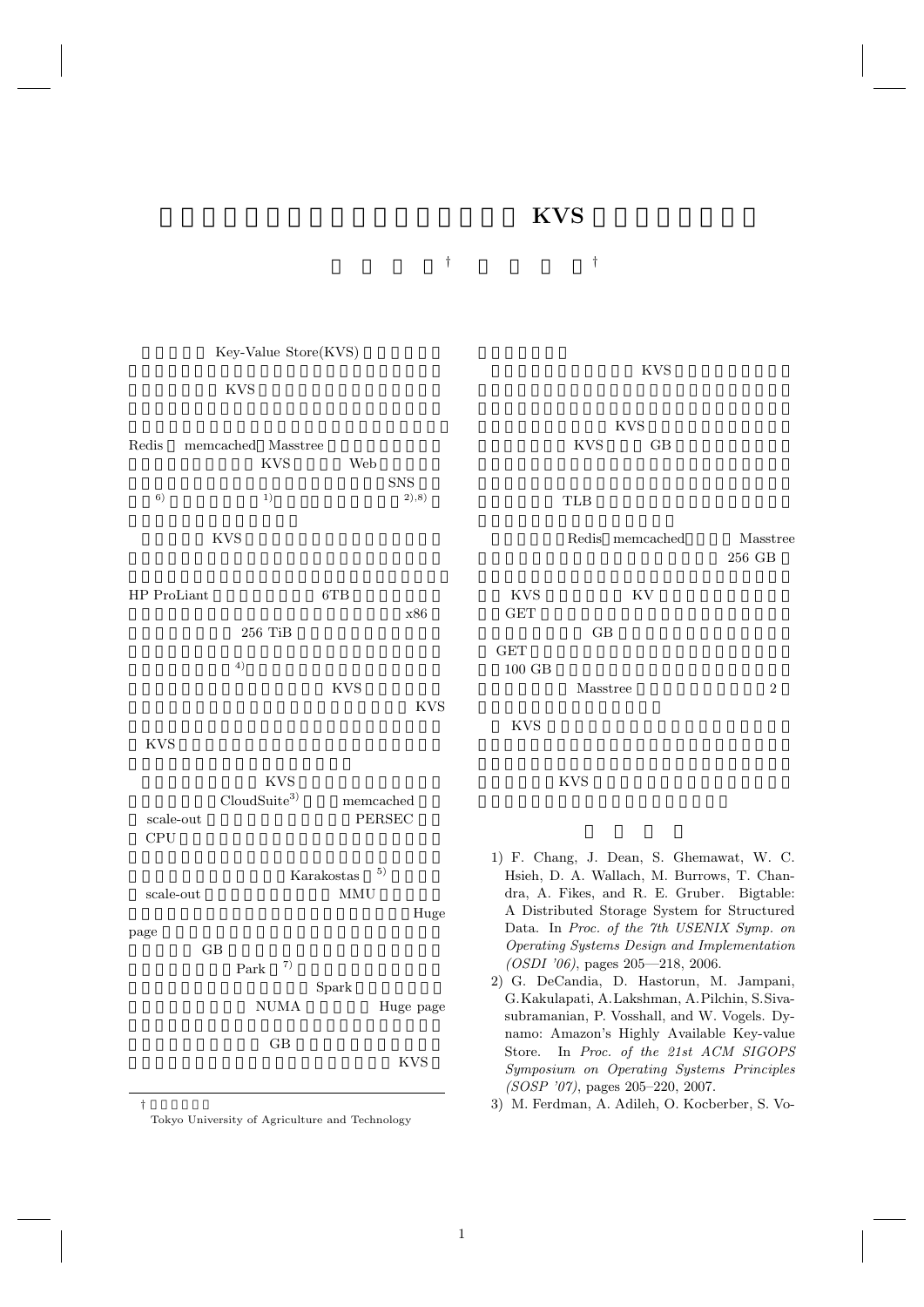## $\mathbf{KVS}$

庄 司 直 樹 *†* 山 田 浩 史 *†*



†<br>Tokyo University of Agriculture and Technology

KVS **KVS** KVS GB TLB  $\blacksquare$  ${\bf Redis}\quad {\bf memcacheed}\qquad\qquad {\bf Masstree}$ 256 GB KVS KV  $GET$ GB state of GB and  $\overline{a}$ GET STRIKE GET  $\begin{tabular}{ll} {\bf Mass tree} & \phantom{\text{Max}} \\ 2 \\ \end{tabular}$ KVS **KVS** 

- 1) F. Chang, J. Dean, S. Ghemawat, W. C. Hsieh, D. A. Wallach, M. Burrows, T. Chandra, A. Fikes, and R. E. Gruber. Bigtable: A Distributed Storage System for Structured Data. In *Proc. of the 7th USENIX Symp. on Operating Systems Design and Implementation (OSDI '06)*, pages 205—218, 2006.
- 2) G. DeCandia, D. Hastorun, M. Jampani, G.Kakulapati, A.Lakshman, A.Pilchin, S.Sivasubramanian, P. Vosshall, and W. Vogels. Dynamo: Amazon's Highly Available Key-value Store. In *Proc. of the 21st ACM SIGOPS Symposium on Operating Systems Principles (SOSP '07)*, pages 205–220, 2007.

3) M. Ferdman, A. Adileh, O. Kocberber, S. Vo-